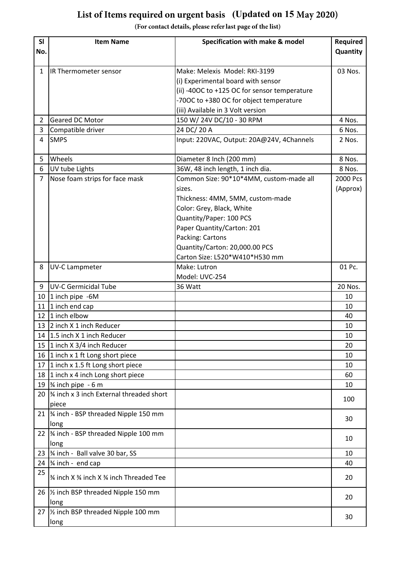## List of Items required on urgent basis (Updated on 15 May 2020)

(For contact details, please refer last page of the list)

| IR Thermometer sensor<br>Make: Melexis Model: RKI-3199<br>03 Nos.<br>$\mathbf{1}$<br>(i) Experimental board with sensor<br>(ii) -400C to +125 OC for sensor temperature<br>-700C to +380 OC for object temperature<br>(iii) Available in 3 Volt version<br>150 W/ 24V DC/10 - 30 RPM<br>Geared DC Motor<br>4 Nos.<br>$\overline{2}$<br>3<br>24 DC/ 20 A<br>Compatible driver<br>6 Nos.<br><b>SMPS</b><br>Input: 220VAC, Output: 20A@24V, 4Channels<br>4<br>2 Nos.<br>Wheels<br>Diameter 8 Inch (200 mm)<br>5<br>8 Nos.<br>36W, 48 inch length, 1 inch dia.<br>6<br>UV tube Lights<br>8 Nos.<br>$\overline{7}$<br>Nose foam strips for face mask<br>Common Size: 90*10*4MM, custom-made all<br>2000 Pcs<br>(Approx)<br>sizes.<br>Thickness: 4MM, 5MM, custom-made<br>Color: Grey, Black, White<br>Quantity/Paper: 100 PCS<br>Paper Quantity/Carton: 201<br>Packing: Cartons<br>Quantity/Carton: 20,000.00 PCS<br>Carton Size: L520*W410*H530 mm<br>01 Pc.<br><b>UV-C Lampmeter</b><br>Make: Lutron<br>8<br>Model: UVC-254<br><b>UV-C Germicidal Tube</b><br>20 Nos.<br>36 Watt<br>9<br>10 $\vert$ 1 inch pipe -6M<br>10<br>1 inch end cap<br>11<br>10<br>1 inch elbow<br>12<br>40<br>13 2 inch X 1 inch Reducer<br>10<br>14 1.5 inch X 1 inch Reducer<br>10<br>1 inch X 3/4 inch Reducer<br>15<br>20<br>16 1 inch x 1 ft Long short piece<br>10<br>1 inch x 1.5 ft Long short piece<br>17<br>10<br>18 1 inch x 4 inch Long short piece<br>60<br>$\frac{3}{4}$ inch pipe - 6 m<br>19<br>10<br>20 $\frac{3}{4}$ inch x 3 inch External threaded short<br>100<br>piece<br>21  % inch - BSP threaded Nipple 150 mm<br>30<br>long<br>22   1/4 inch - BSP threaded Nipple 100 mm<br>10<br>long<br>34 inch - Ball valve 30 bar, SS<br>23<br>10<br>24 $\frac{3}{4}$ inch - end cap<br>40<br>25<br>3⁄4 inch X 3⁄4 inch X 3⁄4 inch Threaded Tee<br>20<br>26   1/2 inch BSP threaded Nipple 150 mm<br>20<br>long<br>27   1/2 inch BSP threaded Nipple 100 mm<br>30<br>long | <b>SI</b> | <b>Item Name</b> | Specification with make & model | Required |
|----------------------------------------------------------------------------------------------------------------------------------------------------------------------------------------------------------------------------------------------------------------------------------------------------------------------------------------------------------------------------------------------------------------------------------------------------------------------------------------------------------------------------------------------------------------------------------------------------------------------------------------------------------------------------------------------------------------------------------------------------------------------------------------------------------------------------------------------------------------------------------------------------------------------------------------------------------------------------------------------------------------------------------------------------------------------------------------------------------------------------------------------------------------------------------------------------------------------------------------------------------------------------------------------------------------------------------------------------------------------------------------------------------------------------------------------------------------------------------------------------------------------------------------------------------------------------------------------------------------------------------------------------------------------------------------------------------------------------------------------------------------------------------------------------------------------------------------------------------------------------------------------------------------------------------------------------------------|-----------|------------------|---------------------------------|----------|
|                                                                                                                                                                                                                                                                                                                                                                                                                                                                                                                                                                                                                                                                                                                                                                                                                                                                                                                                                                                                                                                                                                                                                                                                                                                                                                                                                                                                                                                                                                                                                                                                                                                                                                                                                                                                                                                                                                                                                                | No.       |                  |                                 | Quantity |
|                                                                                                                                                                                                                                                                                                                                                                                                                                                                                                                                                                                                                                                                                                                                                                                                                                                                                                                                                                                                                                                                                                                                                                                                                                                                                                                                                                                                                                                                                                                                                                                                                                                                                                                                                                                                                                                                                                                                                                |           |                  |                                 |          |
|                                                                                                                                                                                                                                                                                                                                                                                                                                                                                                                                                                                                                                                                                                                                                                                                                                                                                                                                                                                                                                                                                                                                                                                                                                                                                                                                                                                                                                                                                                                                                                                                                                                                                                                                                                                                                                                                                                                                                                |           |                  |                                 |          |
|                                                                                                                                                                                                                                                                                                                                                                                                                                                                                                                                                                                                                                                                                                                                                                                                                                                                                                                                                                                                                                                                                                                                                                                                                                                                                                                                                                                                                                                                                                                                                                                                                                                                                                                                                                                                                                                                                                                                                                |           |                  |                                 |          |
|                                                                                                                                                                                                                                                                                                                                                                                                                                                                                                                                                                                                                                                                                                                                                                                                                                                                                                                                                                                                                                                                                                                                                                                                                                                                                                                                                                                                                                                                                                                                                                                                                                                                                                                                                                                                                                                                                                                                                                |           |                  |                                 |          |
|                                                                                                                                                                                                                                                                                                                                                                                                                                                                                                                                                                                                                                                                                                                                                                                                                                                                                                                                                                                                                                                                                                                                                                                                                                                                                                                                                                                                                                                                                                                                                                                                                                                                                                                                                                                                                                                                                                                                                                |           |                  |                                 |          |
|                                                                                                                                                                                                                                                                                                                                                                                                                                                                                                                                                                                                                                                                                                                                                                                                                                                                                                                                                                                                                                                                                                                                                                                                                                                                                                                                                                                                                                                                                                                                                                                                                                                                                                                                                                                                                                                                                                                                                                |           |                  |                                 |          |
|                                                                                                                                                                                                                                                                                                                                                                                                                                                                                                                                                                                                                                                                                                                                                                                                                                                                                                                                                                                                                                                                                                                                                                                                                                                                                                                                                                                                                                                                                                                                                                                                                                                                                                                                                                                                                                                                                                                                                                |           |                  |                                 |          |
|                                                                                                                                                                                                                                                                                                                                                                                                                                                                                                                                                                                                                                                                                                                                                                                                                                                                                                                                                                                                                                                                                                                                                                                                                                                                                                                                                                                                                                                                                                                                                                                                                                                                                                                                                                                                                                                                                                                                                                |           |                  |                                 |          |
|                                                                                                                                                                                                                                                                                                                                                                                                                                                                                                                                                                                                                                                                                                                                                                                                                                                                                                                                                                                                                                                                                                                                                                                                                                                                                                                                                                                                                                                                                                                                                                                                                                                                                                                                                                                                                                                                                                                                                                |           |                  |                                 |          |
|                                                                                                                                                                                                                                                                                                                                                                                                                                                                                                                                                                                                                                                                                                                                                                                                                                                                                                                                                                                                                                                                                                                                                                                                                                                                                                                                                                                                                                                                                                                                                                                                                                                                                                                                                                                                                                                                                                                                                                |           |                  |                                 |          |
|                                                                                                                                                                                                                                                                                                                                                                                                                                                                                                                                                                                                                                                                                                                                                                                                                                                                                                                                                                                                                                                                                                                                                                                                                                                                                                                                                                                                                                                                                                                                                                                                                                                                                                                                                                                                                                                                                                                                                                |           |                  |                                 |          |
|                                                                                                                                                                                                                                                                                                                                                                                                                                                                                                                                                                                                                                                                                                                                                                                                                                                                                                                                                                                                                                                                                                                                                                                                                                                                                                                                                                                                                                                                                                                                                                                                                                                                                                                                                                                                                                                                                                                                                                |           |                  |                                 |          |
|                                                                                                                                                                                                                                                                                                                                                                                                                                                                                                                                                                                                                                                                                                                                                                                                                                                                                                                                                                                                                                                                                                                                                                                                                                                                                                                                                                                                                                                                                                                                                                                                                                                                                                                                                                                                                                                                                                                                                                |           |                  |                                 |          |
|                                                                                                                                                                                                                                                                                                                                                                                                                                                                                                                                                                                                                                                                                                                                                                                                                                                                                                                                                                                                                                                                                                                                                                                                                                                                                                                                                                                                                                                                                                                                                                                                                                                                                                                                                                                                                                                                                                                                                                |           |                  |                                 |          |
|                                                                                                                                                                                                                                                                                                                                                                                                                                                                                                                                                                                                                                                                                                                                                                                                                                                                                                                                                                                                                                                                                                                                                                                                                                                                                                                                                                                                                                                                                                                                                                                                                                                                                                                                                                                                                                                                                                                                                                |           |                  |                                 |          |
|                                                                                                                                                                                                                                                                                                                                                                                                                                                                                                                                                                                                                                                                                                                                                                                                                                                                                                                                                                                                                                                                                                                                                                                                                                                                                                                                                                                                                                                                                                                                                                                                                                                                                                                                                                                                                                                                                                                                                                |           |                  |                                 |          |
|                                                                                                                                                                                                                                                                                                                                                                                                                                                                                                                                                                                                                                                                                                                                                                                                                                                                                                                                                                                                                                                                                                                                                                                                                                                                                                                                                                                                                                                                                                                                                                                                                                                                                                                                                                                                                                                                                                                                                                |           |                  |                                 |          |
|                                                                                                                                                                                                                                                                                                                                                                                                                                                                                                                                                                                                                                                                                                                                                                                                                                                                                                                                                                                                                                                                                                                                                                                                                                                                                                                                                                                                                                                                                                                                                                                                                                                                                                                                                                                                                                                                                                                                                                |           |                  |                                 |          |
|                                                                                                                                                                                                                                                                                                                                                                                                                                                                                                                                                                                                                                                                                                                                                                                                                                                                                                                                                                                                                                                                                                                                                                                                                                                                                                                                                                                                                                                                                                                                                                                                                                                                                                                                                                                                                                                                                                                                                                |           |                  |                                 |          |
|                                                                                                                                                                                                                                                                                                                                                                                                                                                                                                                                                                                                                                                                                                                                                                                                                                                                                                                                                                                                                                                                                                                                                                                                                                                                                                                                                                                                                                                                                                                                                                                                                                                                                                                                                                                                                                                                                                                                                                |           |                  |                                 |          |
|                                                                                                                                                                                                                                                                                                                                                                                                                                                                                                                                                                                                                                                                                                                                                                                                                                                                                                                                                                                                                                                                                                                                                                                                                                                                                                                                                                                                                                                                                                                                                                                                                                                                                                                                                                                                                                                                                                                                                                |           |                  |                                 |          |
|                                                                                                                                                                                                                                                                                                                                                                                                                                                                                                                                                                                                                                                                                                                                                                                                                                                                                                                                                                                                                                                                                                                                                                                                                                                                                                                                                                                                                                                                                                                                                                                                                                                                                                                                                                                                                                                                                                                                                                |           |                  |                                 |          |
|                                                                                                                                                                                                                                                                                                                                                                                                                                                                                                                                                                                                                                                                                                                                                                                                                                                                                                                                                                                                                                                                                                                                                                                                                                                                                                                                                                                                                                                                                                                                                                                                                                                                                                                                                                                                                                                                                                                                                                |           |                  |                                 |          |
|                                                                                                                                                                                                                                                                                                                                                                                                                                                                                                                                                                                                                                                                                                                                                                                                                                                                                                                                                                                                                                                                                                                                                                                                                                                                                                                                                                                                                                                                                                                                                                                                                                                                                                                                                                                                                                                                                                                                                                |           |                  |                                 |          |
|                                                                                                                                                                                                                                                                                                                                                                                                                                                                                                                                                                                                                                                                                                                                                                                                                                                                                                                                                                                                                                                                                                                                                                                                                                                                                                                                                                                                                                                                                                                                                                                                                                                                                                                                                                                                                                                                                                                                                                |           |                  |                                 |          |
|                                                                                                                                                                                                                                                                                                                                                                                                                                                                                                                                                                                                                                                                                                                                                                                                                                                                                                                                                                                                                                                                                                                                                                                                                                                                                                                                                                                                                                                                                                                                                                                                                                                                                                                                                                                                                                                                                                                                                                |           |                  |                                 |          |
|                                                                                                                                                                                                                                                                                                                                                                                                                                                                                                                                                                                                                                                                                                                                                                                                                                                                                                                                                                                                                                                                                                                                                                                                                                                                                                                                                                                                                                                                                                                                                                                                                                                                                                                                                                                                                                                                                                                                                                |           |                  |                                 |          |
|                                                                                                                                                                                                                                                                                                                                                                                                                                                                                                                                                                                                                                                                                                                                                                                                                                                                                                                                                                                                                                                                                                                                                                                                                                                                                                                                                                                                                                                                                                                                                                                                                                                                                                                                                                                                                                                                                                                                                                |           |                  |                                 |          |
|                                                                                                                                                                                                                                                                                                                                                                                                                                                                                                                                                                                                                                                                                                                                                                                                                                                                                                                                                                                                                                                                                                                                                                                                                                                                                                                                                                                                                                                                                                                                                                                                                                                                                                                                                                                                                                                                                                                                                                |           |                  |                                 |          |
|                                                                                                                                                                                                                                                                                                                                                                                                                                                                                                                                                                                                                                                                                                                                                                                                                                                                                                                                                                                                                                                                                                                                                                                                                                                                                                                                                                                                                                                                                                                                                                                                                                                                                                                                                                                                                                                                                                                                                                |           |                  |                                 |          |
|                                                                                                                                                                                                                                                                                                                                                                                                                                                                                                                                                                                                                                                                                                                                                                                                                                                                                                                                                                                                                                                                                                                                                                                                                                                                                                                                                                                                                                                                                                                                                                                                                                                                                                                                                                                                                                                                                                                                                                |           |                  |                                 |          |
|                                                                                                                                                                                                                                                                                                                                                                                                                                                                                                                                                                                                                                                                                                                                                                                                                                                                                                                                                                                                                                                                                                                                                                                                                                                                                                                                                                                                                                                                                                                                                                                                                                                                                                                                                                                                                                                                                                                                                                |           |                  |                                 |          |
|                                                                                                                                                                                                                                                                                                                                                                                                                                                                                                                                                                                                                                                                                                                                                                                                                                                                                                                                                                                                                                                                                                                                                                                                                                                                                                                                                                                                                                                                                                                                                                                                                                                                                                                                                                                                                                                                                                                                                                |           |                  |                                 |          |
|                                                                                                                                                                                                                                                                                                                                                                                                                                                                                                                                                                                                                                                                                                                                                                                                                                                                                                                                                                                                                                                                                                                                                                                                                                                                                                                                                                                                                                                                                                                                                                                                                                                                                                                                                                                                                                                                                                                                                                |           |                  |                                 |          |
|                                                                                                                                                                                                                                                                                                                                                                                                                                                                                                                                                                                                                                                                                                                                                                                                                                                                                                                                                                                                                                                                                                                                                                                                                                                                                                                                                                                                                                                                                                                                                                                                                                                                                                                                                                                                                                                                                                                                                                |           |                  |                                 |          |
|                                                                                                                                                                                                                                                                                                                                                                                                                                                                                                                                                                                                                                                                                                                                                                                                                                                                                                                                                                                                                                                                                                                                                                                                                                                                                                                                                                                                                                                                                                                                                                                                                                                                                                                                                                                                                                                                                                                                                                |           |                  |                                 |          |
|                                                                                                                                                                                                                                                                                                                                                                                                                                                                                                                                                                                                                                                                                                                                                                                                                                                                                                                                                                                                                                                                                                                                                                                                                                                                                                                                                                                                                                                                                                                                                                                                                                                                                                                                                                                                                                                                                                                                                                |           |                  |                                 |          |
|                                                                                                                                                                                                                                                                                                                                                                                                                                                                                                                                                                                                                                                                                                                                                                                                                                                                                                                                                                                                                                                                                                                                                                                                                                                                                                                                                                                                                                                                                                                                                                                                                                                                                                                                                                                                                                                                                                                                                                |           |                  |                                 |          |
|                                                                                                                                                                                                                                                                                                                                                                                                                                                                                                                                                                                                                                                                                                                                                                                                                                                                                                                                                                                                                                                                                                                                                                                                                                                                                                                                                                                                                                                                                                                                                                                                                                                                                                                                                                                                                                                                                                                                                                |           |                  |                                 |          |
|                                                                                                                                                                                                                                                                                                                                                                                                                                                                                                                                                                                                                                                                                                                                                                                                                                                                                                                                                                                                                                                                                                                                                                                                                                                                                                                                                                                                                                                                                                                                                                                                                                                                                                                                                                                                                                                                                                                                                                |           |                  |                                 |          |
|                                                                                                                                                                                                                                                                                                                                                                                                                                                                                                                                                                                                                                                                                                                                                                                                                                                                                                                                                                                                                                                                                                                                                                                                                                                                                                                                                                                                                                                                                                                                                                                                                                                                                                                                                                                                                                                                                                                                                                |           |                  |                                 |          |
|                                                                                                                                                                                                                                                                                                                                                                                                                                                                                                                                                                                                                                                                                                                                                                                                                                                                                                                                                                                                                                                                                                                                                                                                                                                                                                                                                                                                                                                                                                                                                                                                                                                                                                                                                                                                                                                                                                                                                                |           |                  |                                 |          |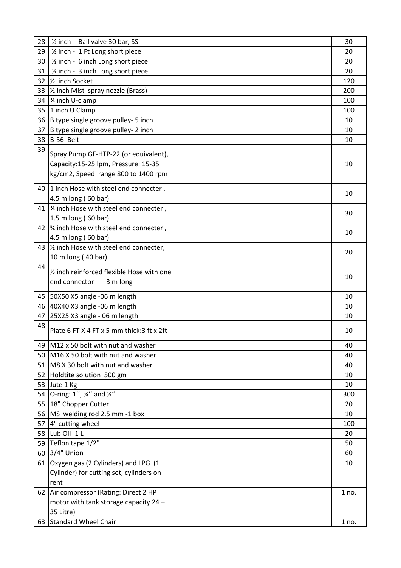| 28 | 1/2 inch - Ball valve 30 bar, SS             | 30    |
|----|----------------------------------------------|-------|
| 29 | 1/2 inch - 1 Ft Long short piece             | 20    |
| 30 | 1/2 inch - 6 inch Long short piece           | 20    |
| 31 | 1/2 inch - 3 inch Long short piece           | 20    |
| 32 | 1/ <sub>2</sub> inch Socket                  | 120   |
|    | 33  1/2 inch Mist spray nozzle (Brass)       | 200   |
|    | 34   34 inch U-clamp                         | 100   |
|    | 35 1 inch U Clamp                            | 100   |
|    | 36 B type single groove pulley- 5 inch       | 10    |
| 37 | B type single groove pulley- 2 inch          | 10    |
|    | 38 B-56 Belt                                 | 10    |
| 39 | Spray Pump GF-HTP-22 (or equivalent),        |       |
|    | Capacity:15-25 lpm, Pressure: 15-35          | 10    |
|    | kg/cm2, Speed range 800 to 1400 rpm          |       |
|    |                                              |       |
|    | 40 1 inch Hose with steel end connecter,     | 10    |
|    | 4.5 m long (60 bar)                          |       |
|    | 41   1/4 inch Hose with steel end connecter, | 30    |
|    | 1.5 m long (60 bar)                          |       |
|    | 42   1/4 inch Hose with steel end connecter, | 10    |
|    | 4.5 m long (60 bar)                          |       |
|    | 43  1/2 inch Hose with steel end connecter,  | 20    |
|    | 10 m long (40 bar)                           |       |
| 44 | 1/2 inch reinforced flexible Hose with one   |       |
|    | end connector - 3 m long                     | 10    |
|    |                                              |       |
|    | 45 50X50 X5 angle -06 m length               | 10    |
|    | 46 40X40 X3 angle -06 m length               | 10    |
| 47 | 25X25 X3 angle - 06 m length                 | 10    |
| 48 | Plate 6 FT X 4 FT x 5 mm thick: 3 ft x 2ft   | 10    |
|    |                                              |       |
| 49 | M12 x 50 bolt with nut and washer            | 40    |
|    | 50 M16 X 50 bolt with nut and washer         | 40    |
| 51 | M8 X 30 bolt with nut and washer             | 40    |
| 52 | Holdtite solution 500 gm                     | 10    |
|    | 53 Jute 1 Kg                                 | 10    |
|    | 54 O-ring: 1", 34" and 1/2"                  | 300   |
|    | 55 18" Chopper Cutter                        | 20    |
|    | 56 MS welding rod 2.5 mm -1 box              | 10    |
| 57 | 4" cutting wheel                             | 100   |
|    | 58 Lub Oil -1 L                              | 20    |
|    | 59 Teflon tape 1/2"                          | 50    |
|    | 60 3/4" Union                                | 60    |
|    | 61 Oxygen gas (2 Cylinders) and LPG (1       | 10    |
|    | Cylinder) for cutting set, cylinders on      |       |
|    | rent                                         |       |
|    | 62 Air compressor (Rating: Direct 2 HP       | 1 no. |
|    | motor with tank storage capacity 24 -        |       |
|    | 35 Litre)                                    |       |
|    | 63 Standard Wheel Chair                      | 1 no. |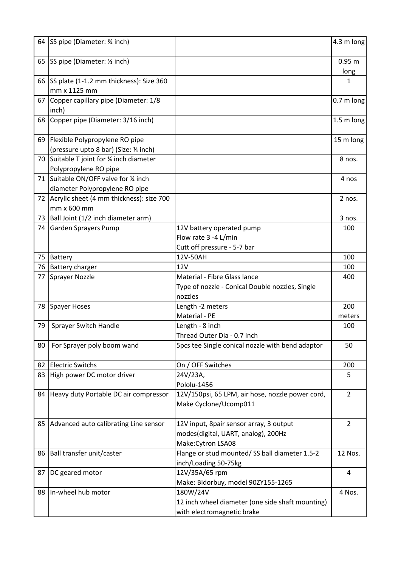|    | 64 SS pipe (Diameter: 3⁄4 inch)             |                                                  | 4.3 m long     |
|----|---------------------------------------------|--------------------------------------------------|----------------|
|    | 65 SS pipe (Diameter: 1/2 inch)             |                                                  | 0.95 m         |
|    |                                             |                                                  | long           |
|    | 66 SS plate (1-1.2 mm thickness): Size 360  |                                                  | 1              |
|    | mm x 1125 mm                                |                                                  |                |
|    | 67 Copper capillary pipe (Diameter: 1/8     |                                                  | $0.7m$ long    |
|    | inch)                                       |                                                  |                |
|    | 68 Copper pipe (Diameter: 3/16 inch)        |                                                  | 1.5 m long     |
|    | 69 Flexible Polypropylene RO pipe           |                                                  | 15 m long      |
|    | (pressure upto 8 bar) (Size: 1/4 inch)      |                                                  |                |
|    | 70 Suitable T joint for % inch diameter     |                                                  | 8 nos.         |
|    | Polypropylene RO pipe                       |                                                  |                |
|    | 71 Suitable ON/OFF valve for 1/4 inch       |                                                  | 4 nos          |
|    | diameter Polypropylene RO pipe              |                                                  |                |
|    | 72 Acrylic sheet (4 mm thickness): size 700 |                                                  | 2 nos.         |
|    | mm x 600 mm                                 |                                                  |                |
|    | 73 Ball Joint (1/2 inch diameter arm)       |                                                  | 3 nos.         |
|    | 74 Garden Sprayers Pump                     | 12V battery operated pump                        | 100            |
|    |                                             | Flow rate 3 -4 L/min                             |                |
|    |                                             | Cutt off pressure - 5-7 bar                      |                |
|    | 75 Battery                                  | 12V-50AH                                         | 100            |
|    | 76 Battery charger                          | 12V                                              | 100            |
|    | 77 Sprayer Nozzle                           | Material - Fibre Glass lance                     | 400            |
|    |                                             | Type of nozzle - Conical Double nozzles, Single  |                |
|    |                                             | nozzles                                          |                |
|    | 78 Spayer Hoses                             | Length -2 meters                                 | 200            |
|    |                                             | Material - PE                                    | meters         |
| 79 | Sprayer Switch Handle                       | Length - 8 inch                                  | 100            |
|    |                                             | Thread Outer Dia - 0.7 inch                      |                |
| 80 | For Sprayer poly boom wand                  | 5pcs tee Single conical nozzle with bend adaptor | 50             |
|    | 82 Electric Switchs                         | On / OFF Switches                                | 200            |
|    | 83 High power DC motor driver               | 24V/23A,                                         | 5              |
|    |                                             | Pololu-1456                                      |                |
|    |                                             |                                                  | $\overline{2}$ |
|    | 84 Heavy duty Portable DC air compressor    | 12V/150psi, 65 LPM, air hose, nozzle power cord, |                |
|    |                                             | Make Cyclone/Ucomp011                            |                |
|    | 85 Advanced auto calibrating Line sensor    | 12V input, 8pair sensor array, 3 output          | $\overline{2}$ |
|    |                                             | modes(digital, UART, analog), 200Hz              |                |
|    |                                             | Make: Cytron LSA08                               |                |
|    | 86 Ball transfer unit/caster                | Flange or stud mounted/ SS ball diameter 1.5-2   | 12 Nos.        |
|    |                                             | inch/Loading 50-75kg                             |                |
| 87 | DC geared motor                             | 12V/35A/65 rpm                                   | $\overline{4}$ |
|    |                                             | Make: Bidorbuy, model 90ZY155-1265               |                |
|    | 88 In-wheel hub motor                       | 180W/24V                                         | 4 Nos.         |
|    |                                             | 12 inch wheel diameter (one side shaft mounting) |                |
|    |                                             | with electromagnetic brake                       |                |
|    |                                             |                                                  |                |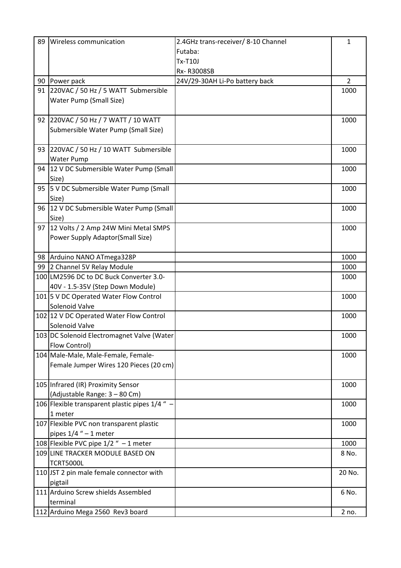| 89 | Wireless communication                         | 2.4GHz trans-receiver/ 8-10 Channel | $\mathbf{1}$ |
|----|------------------------------------------------|-------------------------------------|--------------|
|    |                                                | Futaba:                             |              |
|    |                                                | <b>Tx-T10J</b>                      |              |
|    |                                                | Rx-R3008SB                          |              |
|    | 90 Power pack                                  | 24V/29-30AH Li-Po battery back      | 2            |
|    | 91 220VAC / 50 Hz / 5 WATT Submersible         |                                     | 1000         |
|    | Water Pump (Small Size)                        |                                     |              |
|    |                                                |                                     |              |
|    | 92 220VAC / 50 Hz / 7 WATT / 10 WATT           |                                     | 1000         |
|    | Submersible Water Pump (Small Size)            |                                     |              |
|    |                                                |                                     |              |
|    | 93 220VAC / 50 Hz / 10 WATT Submersible        |                                     | 1000         |
|    | <b>Water Pump</b>                              |                                     |              |
|    | 94 12 V DC Submersible Water Pump (Small       |                                     | 1000         |
|    | Size)                                          |                                     |              |
|    | 95   5 V DC Submersible Water Pump (Small      |                                     | 1000         |
|    | Size)                                          |                                     |              |
|    | 96 12 V DC Submersible Water Pump (Small       |                                     | 1000         |
|    | Size)                                          |                                     |              |
|    | 97   12 Volts / 2 Amp 24W Mini Metal SMPS      |                                     | 1000         |
|    | Power Supply Adaptor(Small Size)               |                                     |              |
|    | 98 Arduino NANO ATmega328P                     |                                     | 1000         |
|    | 99 2 Channel 5V Relay Module                   |                                     | 1000         |
|    | 100 LM2596 DC to DC Buck Converter 3.0-        |                                     | 1000         |
|    | 40V - 1.5-35V (Step Down Module)               |                                     |              |
|    | 101 5 V DC Operated Water Flow Control         |                                     | 1000         |
|    | Solenoid Valve                                 |                                     |              |
|    | 102 12 V DC Operated Water Flow Control        |                                     | 1000         |
|    | Solenoid Valve                                 |                                     |              |
|    | 103 DC Solenoid Electromagnet Valve (Water     |                                     | 1000         |
|    | Flow Control)                                  |                                     |              |
|    | 104 Male-Male, Male-Female, Female-            |                                     | 1000         |
|    | Female Jumper Wires 120 Pieces (20 cm)         |                                     |              |
|    |                                                |                                     |              |
|    | 105 Infrared (IR) Proximity Sensor             |                                     | 1000         |
|    | (Adjustable Range: 3 - 80 Cm)                  |                                     |              |
|    | 106 Flexible transparent plastic pipes 1/4 " - |                                     | 1000         |
|    | 1 meter                                        |                                     |              |
|    | 107 Flexible PVC non transparent plastic       |                                     | 1000         |
|    | pipes $1/4$ " - 1 meter                        |                                     |              |
|    | 108 Flexible PVC pipe $1/2$ " - 1 meter        |                                     | 1000         |
|    | 109 LINE TRACKER MODULE BASED ON               |                                     | 8 No.        |
|    | <b>TCRT5000L</b>                               |                                     |              |
|    | 110 JST 2 pin male female connector with       |                                     | 20 No.       |
|    | pigtail                                        |                                     |              |
|    | 111 Arduino Screw shields Assembled            |                                     | 6 No.        |
|    | terminal                                       |                                     |              |
|    | 112 Arduino Mega 2560 Rev3 board               |                                     | 2 no.        |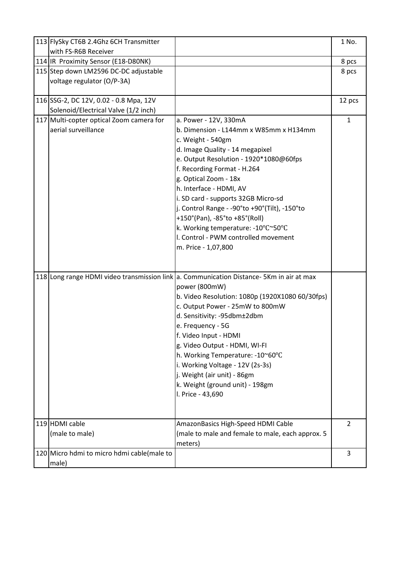| 113 FlySky CT6B 2.4Ghz 6CH Transmitter<br>with FS-R6B Receiver |                                                                                            | 1 No.          |
|----------------------------------------------------------------|--------------------------------------------------------------------------------------------|----------------|
| 114   IR Proximity Sensor (E18-D80NK)                          |                                                                                            | 8 pcs          |
| 115 Step down LM2596 DC-DC adjustable                          |                                                                                            | 8 pcs          |
| voltage regulator (O/P-3A)                                     |                                                                                            |                |
|                                                                |                                                                                            |                |
| 116 SSG-2, DC 12V, 0.02 - 0.8 Mpa, 12V                         |                                                                                            | 12 pcs         |
| Solenoid/Electrical Valve (1/2 inch)                           |                                                                                            |                |
| 117 Multi-copter optical Zoom camera for                       | a. Power - 12V, 330mA                                                                      | $\mathbf{1}$   |
| aerial surveillance                                            | b. Dimension - L144mm x W85mm x H134mm                                                     |                |
|                                                                | c. Weight - 540gm                                                                          |                |
|                                                                | d. Image Quality - 14 megapixel                                                            |                |
|                                                                | e. Output Resolution - 1920*1080@60fps                                                     |                |
|                                                                | f. Recording Format - H.264                                                                |                |
|                                                                | g. Optical Zoom - 18x                                                                      |                |
|                                                                | h. Interface - HDMI, AV                                                                    |                |
|                                                                | i. SD card - supports 32GB Micro-sd                                                        |                |
|                                                                | j. Control Range - -90°to +90°(Tilt), -150°to                                              |                |
|                                                                | +150°(Pan), -85°to +85°(Roll)                                                              |                |
|                                                                | k. Working temperature: -10°C~50°C                                                         |                |
|                                                                | I. Control - PWM controlled movement                                                       |                |
|                                                                | m. Price - 1,07,800                                                                        |                |
|                                                                |                                                                                            |                |
|                                                                | 118 Long range HDMI video transmission link   a. Communication Distance- 5Km in air at max |                |
|                                                                | power (800mW)                                                                              |                |
|                                                                | b. Video Resolution: 1080p (1920X1080 60/30fps)                                            |                |
|                                                                | c. Output Power - 25mW to 800mW                                                            |                |
|                                                                | d. Sensitivity: -95dbm±2dbm                                                                |                |
|                                                                | e. Frequency - 5G                                                                          |                |
|                                                                | f. Video Input - HDMI                                                                      |                |
|                                                                | g. Video Output - HDMI, WI-FI                                                              |                |
|                                                                | h. Working Temperature: -10~60°C                                                           |                |
|                                                                | i. Working Voltage - 12V (2s-3s)                                                           |                |
|                                                                | j. Weight (air unit) - 86gm                                                                |                |
|                                                                | k. Weight (ground unit) - 198gm                                                            |                |
|                                                                | I. Price - 43,690                                                                          |                |
|                                                                |                                                                                            |                |
|                                                                |                                                                                            |                |
| 119 HDMI cable                                                 | AmazonBasics High-Speed HDMI Cable                                                         | $\overline{2}$ |
| (male to male)                                                 | (male to male and female to male, each approx. 5                                           |                |
|                                                                | meters)                                                                                    |                |
| 120 Micro hdmi to micro hdmi cable (male to                    |                                                                                            | 3              |
| male)                                                          |                                                                                            |                |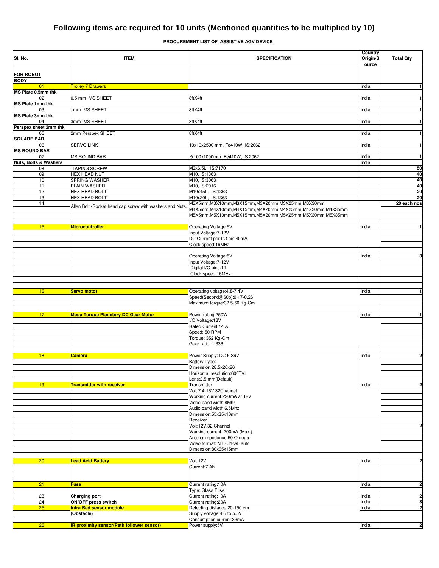## **PROCUREMENT LIST OF ASSISTIVE AGV DEVICE**

| SI. No.                          | <b>ITEM</b>                                              | <b>SPECIFICATION</b>                                                                                                   | Country<br>Origin/S<br>ource | <b>Total Qty</b>        |
|----------------------------------|----------------------------------------------------------|------------------------------------------------------------------------------------------------------------------------|------------------------------|-------------------------|
| <b>FOR ROBOT</b><br><b>BODY</b>  |                                                          |                                                                                                                        |                              |                         |
| 01                               | <b>Trolley 7 Drawers</b>                                 |                                                                                                                        | India                        | $\mathbf{1}$            |
| MS Plate 0.5mm thk               |                                                          |                                                                                                                        |                              |                         |
| 02<br><b>MS Plate 1mm thk</b>    | 0.5 mm MS SHEET                                          | 8ftX4ft                                                                                                                | India                        | $\mathbf{1}$            |
| 03                               | 1mm MS SHEET                                             | 8ftX4ft                                                                                                                | India                        | $\mathbf{1}$            |
| <b>MS Plate 3mm thk</b>          |                                                          |                                                                                                                        |                              |                         |
| 04                               | 3mm MS SHEET                                             | 8ftX4ft                                                                                                                | India                        | $\mathbf{1}$            |
| Perspex sheet 2mm thk            |                                                          |                                                                                                                        |                              |                         |
| 05<br><b>SQUARE BAR</b>          | 2mm Perspex SHEET                                        | 8ftX4ft                                                                                                                | India                        | $\mathbf{1}$            |
| 06                               | SERVO LINK                                               | 10x10x2500 mm, Fe410W, IS:2062                                                                                         | India                        | $\mathbf{1}$            |
| <b>MS ROUND BAR</b>              |                                                          |                                                                                                                        |                              |                         |
| 07                               | <b>MS ROUND BAR</b>                                      | φ 100x1000mm, Fe410W, IS:2062                                                                                          | India                        | $\mathbf{1}$            |
| <b>Nuts, Bolts &amp; Washers</b> |                                                          |                                                                                                                        | India                        |                         |
| 08                               | <b>TAPING SCREW</b>                                      | M3x6.5L, IS:7170                                                                                                       |                              | 50                      |
| 09<br>10                         | HEX HEAD NUT<br>SPRING WASHER                            | M10, IS:1363<br>M10, IS:3063                                                                                           |                              | 40<br>40                |
| 11                               | PLAIN WASHER                                             | M10, IS:2016                                                                                                           |                              | 40                      |
| 12                               | HEX HEAD BOLT                                            | M10x45L, IS:1363                                                                                                       |                              | 20                      |
| 13                               | <b>HEX HEAD BOLT</b>                                     | M10x20L, IS:1363                                                                                                       |                              | 20                      |
| 14                               | Allen Bolt -Socket head cap screw with washers and Nuts. | M3X5mm, M3X10mm, M3X15mm, M3X20mm, M3X25mm, M3X30mm                                                                    |                              | 20 each nos             |
|                                  |                                                          | M4X5mm,M4X10mm,M4X15mm,M4X20mm,M4X25mm,M4X30mm,M4X35mm<br>M5X5mm, M5X10mm, M5X15mm, M5X20mm, M5X25mm, M5X30mm, M5X35mm |                              |                         |
|                                  |                                                          |                                                                                                                        |                              |                         |
| 15                               | <b>Microcontroller</b>                                   | Operating Voltage:5V                                                                                                   | India                        | $\mathbf{1}$            |
|                                  |                                                          | Input Voltage: 7-12V                                                                                                   |                              |                         |
|                                  |                                                          | DC Current per I/O pin:40mA                                                                                            |                              |                         |
|                                  |                                                          | Clock speed:16MHz                                                                                                      |                              |                         |
|                                  |                                                          |                                                                                                                        |                              | 3                       |
|                                  |                                                          | Operating Voltage:5V<br>Input Voltage: 7-12V                                                                           | India                        |                         |
|                                  |                                                          | Digital I/O pins:14                                                                                                    |                              |                         |
|                                  |                                                          | Clock speed:16MHz                                                                                                      |                              |                         |
|                                  |                                                          |                                                                                                                        |                              |                         |
|                                  |                                                          |                                                                                                                        |                              |                         |
| 16                               | <b>Servo motor</b>                                       | Operating voltage: 4.8-7.4V<br>Speed(Second@60o):0.17-0.26                                                             | India                        | 1                       |
|                                  |                                                          | Maximum torque:32.5-50 Kg-Cm                                                                                           |                              |                         |
|                                  |                                                          |                                                                                                                        |                              |                         |
| 17                               | <b>Mega Torque Planetory DC Gear Motor</b>               | Power rating:250W                                                                                                      | India                        | $\mathbf{1}$            |
|                                  |                                                          | I/O Voltage:18V                                                                                                        |                              |                         |
|                                  |                                                          | Rated Current: 14 A<br>Speed: 50 RPM                                                                                   |                              |                         |
|                                  |                                                          | Torque: 352 Kg-Cm                                                                                                      |                              |                         |
|                                  |                                                          | Gear ratio: 1:336                                                                                                      |                              |                         |
|                                  |                                                          |                                                                                                                        |                              |                         |
| 18                               | <b>Camera</b>                                            | Power Supply: DC 5-36V                                                                                                 | India                        | $\overline{\mathbf{2}}$ |
|                                  |                                                          | <b>Battery Type:</b>                                                                                                   |                              |                         |
|                                  |                                                          | Dimension:28.5x26x26<br>Horizontal resolution:600TVL                                                                   |                              |                         |
|                                  |                                                          | Lens: 2.5 mm (Default)                                                                                                 |                              |                         |
| 19                               | <b>Transmitter with receiver</b>                         | Transmitter                                                                                                            | India                        | $\overline{\mathbf{c}}$ |
|                                  |                                                          | Volt:7.4-16V,32Channel                                                                                                 |                              |                         |
|                                  |                                                          | Working current: 220mA at 12V                                                                                          |                              |                         |
|                                  |                                                          | Video band width:8Mhz<br>Audio band width:6.5Mhz                                                                       |                              |                         |
|                                  |                                                          | Dimension:55x35x10mm                                                                                                   |                              |                         |
|                                  |                                                          | Receiver                                                                                                               |                              |                         |
|                                  |                                                          | Volt:12V,32 Channel                                                                                                    |                              | $\overline{2}$          |
|                                  |                                                          | Working current: 200mA (Max.)                                                                                          |                              |                         |
|                                  |                                                          | Antena impedance: 50 Omega                                                                                             |                              |                         |
|                                  |                                                          | Video format: NTSC/PAL auto<br>Dimension:80x65x15mm                                                                    |                              |                         |
|                                  |                                                          |                                                                                                                        |                              |                         |
| 20                               | <b>Lead Acid Battery</b>                                 | Volt:12V                                                                                                               | India                        | $\overline{2}$          |
|                                  |                                                          | Current:7 Ah                                                                                                           |                              |                         |
|                                  |                                                          |                                                                                                                        |                              |                         |
| 21                               | <b>Fuse</b>                                              | Current rating:10A                                                                                                     | India                        | $\overline{\mathbf{c}}$ |
|                                  |                                                          | Type: Glass Fuse                                                                                                       |                              |                         |
| 23                               | <b>Charging port</b>                                     | Current rating:10A                                                                                                     | India                        | $\overline{\mathbf{c}}$ |
| 24                               | <b>ON/OFF press switch</b>                               | Current rating: 20A                                                                                                    | India                        | 3                       |
| 25                               | <b>Infra Red sensor module</b>                           | Detecting distance: 20-150 cm                                                                                          | India                        | $\overline{\mathbf{c}}$ |
|                                  | (Obstacle)                                               | Supply voltage: 4.5 to 5.5V<br>Consumption current:33mA                                                                |                              |                         |
| 26                               | <b>IR proximity sensor(Path follower sensor)</b>         | Power supply:5V                                                                                                        | India                        | $\overline{2}$          |
|                                  |                                                          |                                                                                                                        |                              |                         |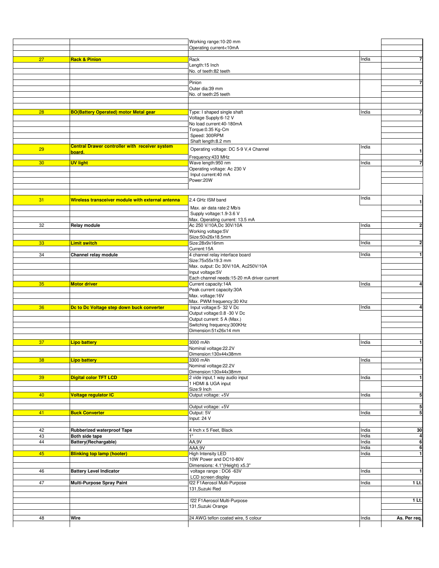|    |                                                       | Working range:10-20 mm                                     |       |                             |
|----|-------------------------------------------------------|------------------------------------------------------------|-------|-----------------------------|
|    |                                                       | Operating current<10mA                                     |       |                             |
|    |                                                       |                                                            |       |                             |
| 27 | <b>Rack &amp; Pinion</b>                              | Rack                                                       | India | 7                           |
|    |                                                       | Length:15 Inch                                             |       |                             |
|    |                                                       | No. of teeth:82 teeth                                      |       |                             |
|    |                                                       | Pinion                                                     |       | $\overline{7}$              |
|    |                                                       | Outer dia:39 mm                                            |       |                             |
|    |                                                       | No. of teeth:25 teeth                                      |       |                             |
|    |                                                       |                                                            |       |                             |
|    |                                                       |                                                            |       |                             |
| 28 | <b>BO(Battery Operated) motor Metal gear</b>          | Type: I shaped single shaft                                | India | 7                           |
|    |                                                       | Voltage Supply:6-12 V<br>No load current: 40-180mA         |       |                             |
|    |                                                       | Torque: 0.35 Kg-Cm                                         |       |                             |
|    |                                                       | Speed: 300RPM                                              |       |                             |
|    |                                                       | Shaft length:8.2 mm                                        |       |                             |
| 29 | <b>Central Drawer controller with receiver system</b> | Operating voltage: DC 5-9 V,4 Channel                      | India |                             |
|    | board.                                                |                                                            |       | $\mathbf 1$                 |
|    |                                                       | Frequency: 433 MHz                                         |       | $\overline{7}$              |
| 30 | <b>UV light</b>                                       | Wave length:950 nm<br>Operating voltage: Ac 230 V          | India |                             |
|    |                                                       | Input current: 40 mA                                       |       |                             |
|    |                                                       | Power:20W                                                  |       |                             |
|    |                                                       |                                                            |       |                             |
|    |                                                       |                                                            |       |                             |
| 31 | Wireless transceiver module with external antenna     | 2.4 GHz ISM band                                           | India | $\mathbf{1}$                |
|    |                                                       | Max. air data rate:2 Mb/s                                  |       |                             |
|    |                                                       | Supply voltage: 1.9-3.6 V                                  |       |                             |
|    |                                                       | Max. Operating current: 13.5 mA                            |       |                             |
| 32 | Relay module                                          | Ac 250 V/10A, Dc 30V/10A                                   | India | $\overline{2}$              |
|    |                                                       | Working voltage:5V                                         |       |                             |
|    |                                                       | Siize:50x26x18.5mm                                         |       |                             |
| 33 | Limit switch                                          | Size:28x9x16mm                                             | India | $\overline{2}$              |
| 34 |                                                       | Current:15A<br>4 channel relay interface board             |       |                             |
|    | Channel relay module                                  | Size:75x55x19.3 mm                                         | India | 1                           |
|    |                                                       | Max. output: Dc 30V/10A, Ac250V/10A                        |       |                             |
|    |                                                       | Input voltage:5V                                           |       |                             |
|    |                                                       | Each channel needs:15-20 mA driver current                 |       |                             |
|    |                                                       |                                                            |       |                             |
| 35 | <b>Motor driver</b>                                   | Current capacity:14A                                       | India |                             |
|    |                                                       | Peak current capacity:30A                                  |       |                             |
|    |                                                       | Max. voltage:16V                                           |       | 4                           |
|    |                                                       | Max. PWM frequency:30 Khz                                  |       |                             |
| 36 | De to De Voltage step down buck converter             | Input voltage: 5-32 V Dc                                   | India |                             |
|    |                                                       | Output voltage: 0.8 - 30 V Dc                              |       |                             |
|    |                                                       | Output current: 5 A (Max.)                                 |       |                             |
|    |                                                       | Switching frequency: 300KHz<br>Dimension:51x26x14 mm       |       |                             |
|    |                                                       |                                                            |       |                             |
| 37 | <b>Lipo battery</b>                                   | 3000 mAh                                                   | India |                             |
|    |                                                       | Nominal voltage:22.2V                                      |       |                             |
|    |                                                       | Dimension:130x44x38mm                                      |       |                             |
| 38 | <u>Lipo battery</u>                                   | 3300 mAh                                                   | India |                             |
|    |                                                       | Nominal voltage:22.2V<br>Dimension:130x44x38mm             |       |                             |
| 39 | <b>Digital color TFT LCD</b>                          | 2 vide input, 1 way audio input                            | India |                             |
|    |                                                       | 1 HDMI & UGA input                                         |       | 4<br>1<br>1<br>$\mathbf{1}$ |
|    |                                                       | Size:9 Inch                                                |       |                             |
| 40 | Voltage regulator IC                                  | Output voltage: +5V                                        | India |                             |
|    |                                                       |                                                            |       |                             |
|    |                                                       | Output voltage: +5V                                        |       | 5<br>5                      |
| 41 | <b>Buck Converter</b>                                 | Output: 5V                                                 | India | 5                           |
|    |                                                       | Input: 24 V                                                |       |                             |
| 42 | Rubberized waterproof Tape                            | 4 Inch x 5 Feet, Black                                     | India | 30                          |
| 43 | Both side tape                                        | 1"                                                         | India | 4                           |
| 44 | Battery(Rechargable)                                  | AA,9V                                                      | India | 6                           |
|    |                                                       | AAA, 9V                                                    | India | 6                           |
| 45 | <b>Blinking top lamp (hooter)</b>                     | High Intensity LED                                         | India | $\mathbf{1}$                |
|    |                                                       | 10W Power and DC10-80V                                     |       |                             |
| 46 | <b>Battery Level Indicator</b>                        | Dimensions: 4.1"(Height) x5.3"<br>voltage range : DC6 -63V | India |                             |
|    |                                                       | LCD screen display                                         |       |                             |
| 47 | Multi-Purpose Spray Paint                             | f22 F1Aerosol Multi-Purpose                                | India |                             |
|    |                                                       | 131, Suzuki Red                                            |       |                             |
|    |                                                       |                                                            |       | $\mathbf{1}$<br>$1$ Lt.     |
|    |                                                       | f22 F1Aerosol Multi-Purpose                                |       | $1$ Lt.                     |
|    |                                                       | 131, Suzuki Orange                                         |       |                             |
| 48 | Wire                                                  | 24 AWG teflon coated wire, 5 colour                        | India | As. Per req.                |